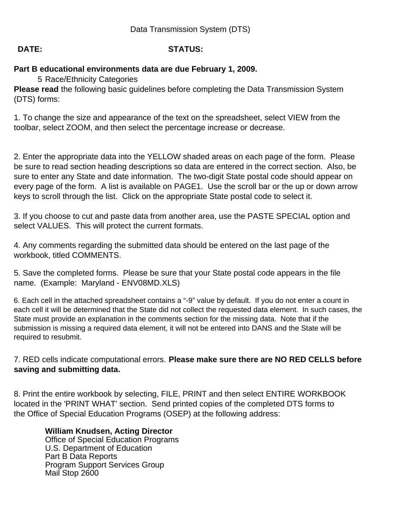# DATE: STATUS:

# **Part B educational environments data are due February 1, 2009.**

5 Race/Ethnicity Categories

**Please read** the following basic guidelines before completing the Data Transmission System (DTS) forms:

1. To change the size and appearance of the text on the spreadsheet, select VIEW from the toolbar, select ZOOM, and then select the percentage increase or decrease.

2. Enter the appropriate data into the YELLOW shaded areas on each page of the form. Please be sure to read section heading descriptions so data are entered in the correct section. Also, be sure to enter any State and date information. The two-digit State postal code should appear on every page of the form. A list is available on PAGE1. Use the scroll bar or the up or down arrow keys to scroll through the list. Click on the appropriate State postal code to select it.

3. If you choose to cut and paste data from another area, use the PASTE SPECIAL option and select VALUES. This will protect the current formats.

4. Any comments regarding the submitted data should be entered on the last page of the workbook, titled COMMENTS.

5. Save the completed forms. Please be sure that your State postal code appears in the file name. (Example: Maryland - ENV08MD.XLS)

6. Each cell in the attached spreadsheet contains a "-9" value by default. If you do not enter a count in each cell it will be determined that the State did not collect the requested data element. In such cases, the State must provide an explanation in the comments section for the missing data. Note that if the submission is missing a required data element, it will not be entered into DANS and the State will be required to resubmit.

# 7. RED cells indicate computational errors. **Please make sure there are NO RED CELLS before saving and submitting data.**

8. Print the entire workbook by selecting, FILE, PRINT and then select ENTIRE WORKBOOK located in the 'PRINT WHAT' section. Send printed copies of the completed DTS forms to the Office of Special Education Programs (OSEP) at the following address:

# **William Knudsen, Acting Director**

Office of Special Education Programs U.S. Department of Education Part B Data Reports Program Support Services Group Mail Stop 2600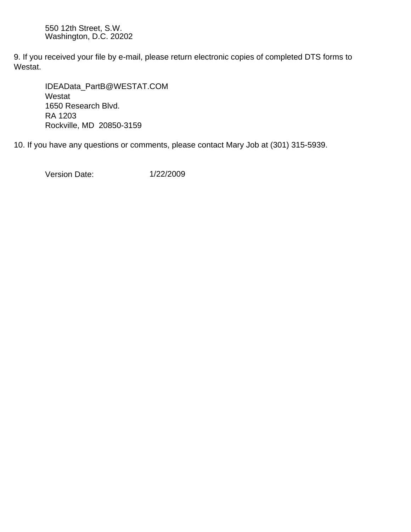550 12th Street, S.W. Washington, D.C. 20202

9. If you received your file by e-mail, please return electronic copies of completed DTS forms to Westat.

IDEAData\_PartB@WESTAT.COM Westat 1650 Research Blvd. RA 1203 Rockville, MD 20850-3159

10. If you have any questions or comments, please contact Mary Job at (301) 315-5939.

Version Date: 1/22/2009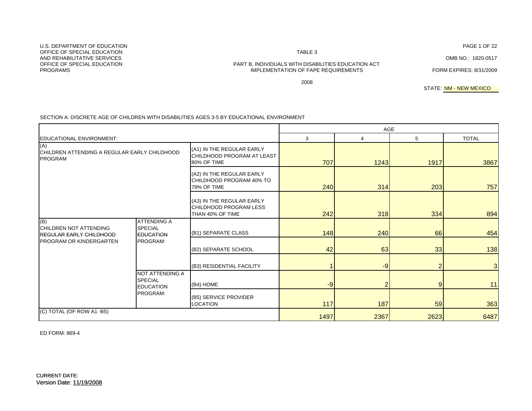TABLE 3 PART B, INDIVIDUALS WITH DISABILITIES EDUCATION ACT

PAGE 1 OF 22

IMPLEMENTATION OF FAPE REQUIREMENTS FORM EXPIRES: 8/31/2009

2008

STATE: <mark>NM - NEW MEXICO</mark>

|                                                                       |                                                          |                                                                             | AGE  |                |                |              |
|-----------------------------------------------------------------------|----------------------------------------------------------|-----------------------------------------------------------------------------|------|----------------|----------------|--------------|
| <b>EDUCATIONAL ENVIRONMENT:</b>                                       |                                                          |                                                                             | 3    | 4              | 5              | <b>TOTAL</b> |
| (A)<br>CHILDREN ATTENDING A REGULAR EARLY CHILDHOOD<br><b>PROGRAM</b> |                                                          | (A1) IN THE REGULAR EARLY<br>CHILDHOOD PROGRAM AT LEAST<br>80% OF TIME      | 707  | 1243           | 1917           | 3867         |
|                                                                       |                                                          | (A2) IN THE REGULAR EARLY<br>CHILDHOOD PROGRAM 40% TO<br><b>79% OF TIME</b> | 240  | 314            | 203            | 757          |
|                                                                       |                                                          | (A3) IN THE REGULAR EARLY<br>CHILDHOOD PROGRAM LESS<br>THAN 40% OF TIME     | 242  | 318            | 334            | 894          |
| (B)<br>CHILDREN NOT ATTENDING<br>REGULAR EARLY CHILDHOOD              | <b>ATTENDING A</b><br><b>SPECIAL</b><br><b>EDUCATION</b> | (B1) SEPARATE CLASS                                                         | 148  | 240            | 66             | 454          |
| PROGRAM OR KINDERGARTEN                                               | PROGRAM:                                                 | (B2) SEPARATE SCHOOL                                                        | 42   | 63             | 33             | 138          |
|                                                                       |                                                          | (B3) RESIDENTIAL FACILITY                                                   |      | $-9$           |                | 3            |
|                                                                       | NOT ATTENDING A<br><b>SPECIAL</b><br><b>EDUCATION</b>    | (B4) HOME                                                                   | $-9$ | $\overline{2}$ | $\overline{9}$ | 11           |
|                                                                       | PROGRAM:                                                 | (B5) SERVICE PROVIDER<br><b>LOCATION</b>                                    | 117  | 187            | 59             | 363          |
| (C) TOTAL (OF ROW A1 -B5)                                             |                                                          |                                                                             | 1497 | 2367           | 2623           | 6487         |

SECTION A: DISCRETE AGE OF CHILDREN WITH DISABILITIES AGES 3-5 BY EDUCATIONAL ENVIRONMENT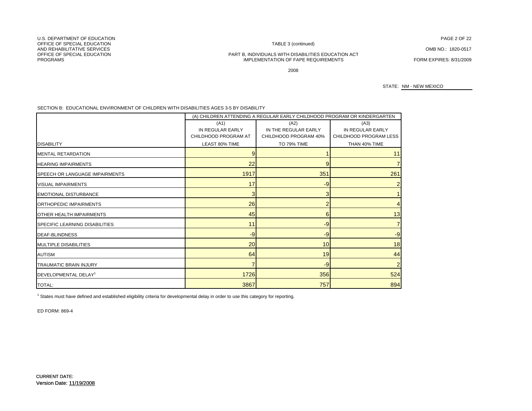N FAGE 2 OF 22

2008

STATE: NM - NEW MEXICO

SECTION B: EDUCATIONAL ENVIRONMENT OF CHILDREN WITH DISABILITIES AGES 3-5 BY DISABILITY

|                                       |                      | (A) CHILDREN ATTENDING A REGULAR EARLY CHILDHOOD PROGRAM OR KINDERGARTEN |                        |
|---------------------------------------|----------------------|--------------------------------------------------------------------------|------------------------|
|                                       | (A1)                 | (A2)                                                                     | (A3)                   |
|                                       | IN REGULAR EARLY     | IN THE REGULAR EARLY                                                     | IN REGULAR EARLY       |
|                                       | CHILDHOOD PROGRAM AT | CHILDHOOD PROGRAM 40%                                                    | CHILDHOOD PROGRAM LESS |
| <b>DISABILITY</b>                     | LEAST 80% TIME       | TO 79% TIME                                                              | THAN 40% TIME          |
| <b>MENTAL RETARDATION</b>             |                      |                                                                          | 11                     |
| <b>HEARING IMPAIRMENTS</b>            | 22                   | 9                                                                        |                        |
| <b>SPEECH OR LANGUAGE IMPAIRMENTS</b> | 1917                 | 351                                                                      | 261                    |
| <b>VISUAL IMPAIRMENTS</b>             | 17                   | $-9$                                                                     |                        |
| <b>EMOTIONAL DISTURBANCE</b>          |                      | 3 <sub>l</sub>                                                           |                        |
| <b>ORTHOPEDIC IMPAIRMENTS</b>         | 26                   | $\overline{2}$                                                           |                        |
| <b>OTHER HEALTH IMPAIRMENTS</b>       | 45                   | 6                                                                        | 13                     |
| <b>SPECIFIC LEARNING DISABILITIES</b> | 11                   | $-9$                                                                     |                        |
| DEAF-BLINDNESS                        | -9                   | $-9$                                                                     | -9                     |
| <b>MULTIPLE DISABILITIES</b>          | 20                   | 10                                                                       | 18                     |
| <b>AUTISM</b>                         | 64                   | 19                                                                       | 44                     |
| <b>TRAUMATIC BRAIN INJURY</b>         |                      | $-9$                                                                     |                        |
| DEVELOPMENTAL DELAY <sup>1</sup>      | 1726                 | 356                                                                      | 524                    |
| <b>TOTAL:</b>                         | 3867                 | 757                                                                      | 894                    |

<sup>1</sup> States must have defined and established eligibility criteria for developmental delay in order to use this category for reporting.

ED FORM: 869-4

U.S. DEPARTMENT OF EDUCATIONOFFICE OF SPECIAL EDUCATIONAND REHABILITATIVE SERVICESAND REHABILITATIVE SERVICES<br>OFFICE OF SPECIAL EDUCATION COMBINORES AND RESERVE TO A RESERVE THE DISABILITIES EDUCATION ACT PROGRAMS

PART B, INDIVIDUALS WITH DISABILITIES EDUCATION ACT IMPLEMENTATION OF FAPE REQUIREMENTS FORM EXPIRES: 8/31/2009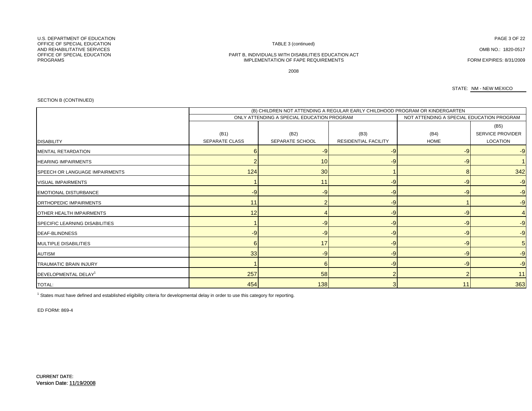PAGE 3 OF 22

OMB NO.: 1820-0517

# TABLE 3 (continued) OFFICE OF SPECIAL EDUCATION PART B, INDIVIDUALS WITH DISABILITIES EDUCATION ACT IMPLEMENTATION OF FAPE REQUIREMENTS **FORM EXPIRES: 8/31/2009**

2008

STATE: NM - NEW MEXICO

## SECTION B (CONTINUED)

|                                  |                       | (B) CHILDREN NOT ATTENDING A REGULAR EARLY CHILDHOOD PROGRAM OR KINDERGARTEN |                             |                                           |                  |  |  |  |  |
|----------------------------------|-----------------------|------------------------------------------------------------------------------|-----------------------------|-------------------------------------------|------------------|--|--|--|--|
|                                  |                       | ONLY ATTENDING A SPECIAL EDUCATION PROGRAM                                   |                             | NOT ATTENDING A SPECIAL EDUCATION PROGRAM |                  |  |  |  |  |
|                                  |                       |                                                                              |                             |                                           | (B5)             |  |  |  |  |
|                                  | (B1)                  | (B2)                                                                         | (B3)                        | (B4)                                      | SERVICE PROVIDER |  |  |  |  |
| <b>DISABILITY</b>                | <b>SEPARATE CLASS</b> | SEPARATE SCHOOL                                                              | <b>RESIDENTIAL FACILITY</b> | <b>HOME</b>                               | LOCATION         |  |  |  |  |
| MENTAL RETARDATION               |                       | -9                                                                           | -9                          | -9                                        | -9               |  |  |  |  |
| <b>HEARING IMPAIRMENTS</b>       |                       | 10 <sup>1</sup>                                                              | -9                          | -9                                        |                  |  |  |  |  |
| SPEECH OR LANGUAGE IMPAIRMENTS   | 124                   | 30 <sup>2</sup>                                                              |                             | 8                                         | 342              |  |  |  |  |
| <b>VISUAL IMPAIRMENTS</b>        |                       | 11                                                                           | -9                          | -9                                        | $-9$             |  |  |  |  |
| <b>EMOTIONAL DISTURBANCE</b>     | -9                    | $-9$                                                                         | -9                          | -9                                        | $-9$             |  |  |  |  |
| ORTHOPEDIC IMPAIRMENTS           | 11                    |                                                                              | -9                          |                                           | $-9$             |  |  |  |  |
| <b>OTHER HEALTH IMPAIRMENTS</b>  | 12                    |                                                                              | -9                          | -9                                        |                  |  |  |  |  |
| SPECIFIC LEARNING DISABILITIES   |                       | -9                                                                           | -9                          | -9                                        | -9               |  |  |  |  |
| <b>DEAF-BLINDNESS</b>            | -9                    | $-9$                                                                         | -9                          | -9                                        | $-9$             |  |  |  |  |
| MULTIPLE DISABILITIES            | 6                     | 17                                                                           | -9                          | -9                                        |                  |  |  |  |  |
| <b>AUTISM</b>                    | 33                    | $-9$                                                                         | -9                          | -9                                        | -9               |  |  |  |  |
| <b>TRAUMATIC BRAIN INJURY</b>    |                       | 6I                                                                           | -9                          | -9                                        | $-9$             |  |  |  |  |
| DEVELOPMENTAL DELAY <sup>1</sup> | 257                   | 58                                                                           |                             |                                           | 11               |  |  |  |  |
| <b>TOTAL:</b>                    | 454                   | 138                                                                          |                             | 11                                        | 363              |  |  |  |  |

1 States must have defined and established eligibility criteria for developmental delay in order to use this category for reporting.

ED FORM: 869-4

U.S. DEPARTMENT OF EDUCATIONOFFICE OF SPECIAL EDUCATIONAND REHABILITATIVE SERVICESPROGRAMS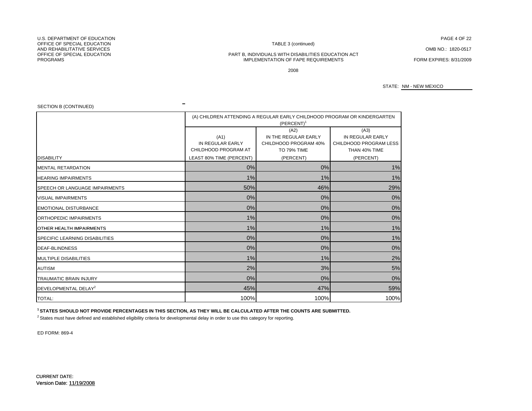U.S. DEPARTMENT OF EDUCATIONOFFICE OF SPECIAL EDUCATIONAND REHABILITATIVE SERVICESAND REHABILITATIVE SERVICES<br>OFFICE OF SPECIAL EDUCATION COMBINORES AND RESERVE TO A RESERVE THE DISABILITIES EDUCATION ACT PROGRAMS

TABLE 3 (continued)

### PART B, INDIVIDUALS WITH DISABILITIES EDUCATION ACT IMPLEMENTATION OF FAPE REQUIREMENTS FORM EXPIRES: 8/31/2009

N FAGE 4 OF 22

2008

STATE: NM - NEW MEXICO

SECTION B (CONTINUED)

|                                  |                                                  | (A) CHILDREN ATTENDING A REGULAR EARLY CHILDHOOD PROGRAM OR KINDERGARTEN<br>$(PERCENT)^T$ |                                                                     |
|----------------------------------|--------------------------------------------------|-------------------------------------------------------------------------------------------|---------------------------------------------------------------------|
|                                  | (A1)<br>IN REGULAR EARLY<br>CHILDHOOD PROGRAM AT | (A2)<br>IN THE REGULAR EARLY<br>CHILDHOOD PROGRAM 40%<br>TO 79% TIME                      | (A3)<br>IN REGULAR EARLY<br>CHILDHOOD PROGRAM LESS<br>THAN 40% TIME |
| <b>DISABILITY</b>                | LEAST 80% TIME (PERCENT)                         | (PERCENT)                                                                                 | (PERCENT)                                                           |
| MENTAL RETARDATION               | 0%                                               | 0%                                                                                        | 1%                                                                  |
| <b>HEARING IMPAIRMENTS</b>       | 1%                                               | 1%                                                                                        | 1%                                                                  |
| SPEECH OR LANGUAGE IMPAIRMENTS   | 50%                                              | 46%                                                                                       | 29%                                                                 |
| <b>VISUAL IMPAIRMENTS</b>        | 0%                                               | 0%                                                                                        | 0%                                                                  |
| <b>EMOTIONAL DISTURBANCE</b>     | 0%                                               | 0%                                                                                        | 0%                                                                  |
| ORTHOPEDIC IMPAIRMENTS           | 1%                                               | 0%                                                                                        | 0%                                                                  |
| <b>OTHER HEALTH IMPAIRMENTS</b>  | 1%                                               | 1%                                                                                        | $1\%$                                                               |
| SPECIFIC LEARNING DISABILITIES   | 0%                                               | 0%                                                                                        | $1\%$                                                               |
| <b>DEAF-BLINDNESS</b>            | 0%                                               | 0%                                                                                        | 0%                                                                  |
| <b>MULTIPLE DISABILITIES</b>     | 1%                                               | 1%                                                                                        | 2%                                                                  |
| <b>AUTISM</b>                    | 2%                                               | 3%                                                                                        | 5%                                                                  |
| <b>TRAUMATIC BRAIN INJURY</b>    | 0%                                               | 0%                                                                                        | 0%                                                                  |
| DEVELOPMENTAL DELAY <sup>2</sup> | 45%                                              | 47%                                                                                       | 59%                                                                 |
| <b>TOTAL:</b>                    | 100%                                             | 100%                                                                                      | 100%                                                                |

**1 STATES SHOULD NOT PROVIDE PERCENTAGES IN THIS SECTION, AS THEY WILL BE CALCULATED AFTER THE COUNTS ARE SUBMITTED.**

 $\blacksquare$ 

 $2$  States must have defined and established eligibility criteria for developmental delay in order to use this category for reporting.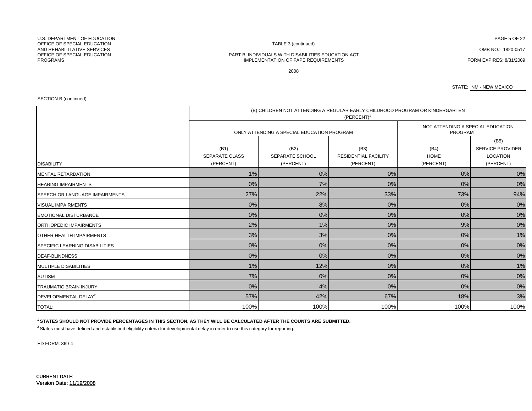PAGE 5 OF 22

OMB NO.: 1820-0517

OFFICE OF SPECIAL EDUCATION PART B, INDIVIDUALS WITH DISABILITIES EDUCATION ACT IMPLEMENTATION OF FAPE REQUIREMENTS **FORM EXPIRES: 8/31/2009** 

TABLE 3 (continued)

2008

STATE: NM - NEW MEXICO

SECTION B (continued)

|                                  |                                            | (B) CHILDREN NOT ATTENDING A REGULAR EARLY CHILDHOOD PROGRAM OR KINDERGARTEN | $(PERCENT)^1$                                    |                                              |                                                                 |
|----------------------------------|--------------------------------------------|------------------------------------------------------------------------------|--------------------------------------------------|----------------------------------------------|-----------------------------------------------------------------|
|                                  |                                            | ONLY ATTENDING A SPECIAL EDUCATION PROGRAM                                   |                                                  | NOT ATTENDING A SPECIAL EDUCATION<br>PROGRAM |                                                                 |
| <b>DISABILITY</b>                | (B1)<br><b>SEPARATE CLASS</b><br>(PERCENT) | (B2)<br>SEPARATE SCHOOL<br>(PERCENT)                                         | (B3)<br><b>RESIDENTIAL FACILITY</b><br>(PERCENT) | (B4)<br><b>HOME</b><br>(PERCENT)             | (B5)<br><b>SERVICE PROVIDER</b><br><b>LOCATION</b><br>(PERCENT) |
| <b>MENTAL RETARDATION</b>        | 1%                                         | 0%                                                                           | 0%                                               | 0%                                           | 0%                                                              |
| <b>HEARING IMPAIRMENTS</b>       | 0%                                         | 7%                                                                           | 0%                                               | 0%                                           | 0%                                                              |
| SPEECH OR LANGUAGE IMPAIRMENTS   | 27%                                        | 22%                                                                          | 33%                                              | 73%                                          | 94%                                                             |
| <b>VISUAL IMPAIRMENTS</b>        | 0%                                         | 8%                                                                           | 0%                                               | 0%                                           | 0%                                                              |
| <b>EMOTIONAL DISTURBANCE</b>     | 0%                                         | 0%                                                                           | 0%                                               | 0%                                           | 0%                                                              |
| ORTHOPEDIC IMPAIRMENTS           | 2%                                         | 1%                                                                           | 0%                                               | 9%                                           | 0%                                                              |
| <b>OTHER HEALTH IMPAIRMENTS</b>  | 3%                                         | 3%                                                                           | 0%                                               | 0%                                           | 1%                                                              |
| SPECIFIC LEARNING DISABILITIES   | 0%                                         | 0%                                                                           | 0%                                               | 0%                                           | 0%                                                              |
| <b>DEAF-BLINDNESS</b>            | 0%                                         | 0%                                                                           | 0%                                               | 0%                                           | 0%                                                              |
| <b>MULTIPLE DISABILITIES</b>     | 1%                                         | 12%                                                                          | 0%                                               | 0%                                           | 1%                                                              |
| <b>AUTISM</b>                    | 7%                                         | 0%                                                                           | 0%                                               | 0%                                           | 0%                                                              |
| <b>TRAUMATIC BRAIN INJURY</b>    | 0%                                         | 4%                                                                           | 0%                                               | 0%                                           | 0%                                                              |
| DEVELOPMENTAL DELAY <sup>2</sup> | 57%                                        | 42%                                                                          | 67%                                              | 18%                                          | 3%                                                              |
| <b>TOTAL:</b>                    | 100%                                       | 100%                                                                         | 100%                                             | 100%                                         | 100%                                                            |

**1 STATES SHOULD NOT PROVIDE PERCENTAGES IN THIS SECTION, AS THEY WILL BE CALCULATED AFTER THE COUNTS ARE SUBMITTED.**

<sup>2</sup> States must have defined and established eligibility criteria for developmental delay in order to use this category for reporting.

ED FORM: 869-4

U.S. DEPARTMENT OF EDUCATIONOFFICE OF SPECIAL EDUCATIONAND REHABILITATIVE SERVICESPROGRAMS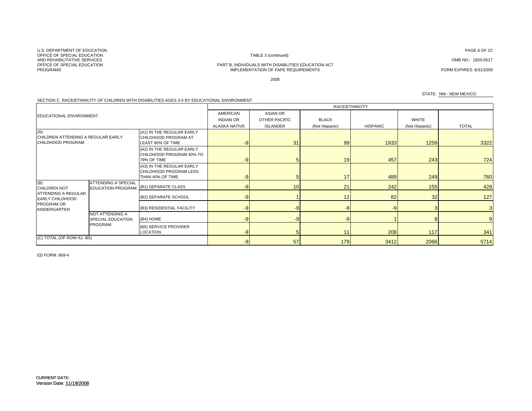CURRENT DATE: Version Date: 11/19/2008

ED FORM: 869-4

SECTION C. RACE/ETHNICITY OF CHILDREN WITH DISABILITIES AGES 3-5 BY EDUCATIONAL ENVIRONMENT

|                                                                                                            |                                                 |                                                                         | RACE/ETHNICITY       |                 |                |                 |                |              |  |
|------------------------------------------------------------------------------------------------------------|-------------------------------------------------|-------------------------------------------------------------------------|----------------------|-----------------|----------------|-----------------|----------------|--------------|--|
| <b>EDUCATIONAL ENVIRONMENT:</b>                                                                            |                                                 |                                                                         | <b>AMERICAN</b>      | <b>ASIAN OR</b> |                |                 |                |              |  |
|                                                                                                            |                                                 |                                                                         | <b>INDIAN OR</b>     | OTHER PACIFIC   | <b>BLACK</b>   |                 | <b>WHITE</b>   |              |  |
|                                                                                                            |                                                 |                                                                         | <b>ALASKA NATIVE</b> | <b>ISLANDER</b> | (Not Hispanic) | <b>HISPANIC</b> | (Not Hispanic) | <b>TOTAL</b> |  |
| (A)<br>CHILDREN ATTENDING A REGULAR EARLY<br>CHILDHOOD PROGRAM                                             |                                                 | (A1) IN THE REGULAR EARLY<br>CHILDHOOD PROGRAM AT<br>LEAST 80% OF TIME  | -9                   | 31              | 99             | 1933            | 1259           | 3322         |  |
|                                                                                                            |                                                 | (A2) IN THE REGULAR EARLY<br>CHILDHOOD PROGRAM 40% TO<br>79% OF TIME    | -9                   |                 | 19             | 457             | 243            | 724          |  |
|                                                                                                            |                                                 | (A3) IN THE REGULAR EARLY<br>CHILDHOOD PROGRAM LESS<br>THAN 40% OF TIME | -9                   |                 | 17             | 489             | 249            | 760          |  |
| (B)<br>CHILDREN NOT                                                                                        | ATTENDING A SPECIAL<br><b>EDUCATION PROGRAM</b> | (B1) SEPARATE CLASS                                                     | -9                   | 10              | 21             | 242             | 155            | 428          |  |
| <b>ATTENDING A REGULAR</b><br><b>EARLY CHILDHOOD</b>                                                       |                                                 | (B2) SEPARATE SCHOOL                                                    | -9                   |                 | 12             | 82              | 32             | 127          |  |
| <b>PROGRAM OR</b><br><b>KINDERGARTEN</b><br><b>NOT ATTENDING A</b><br><b>SPECIAL EDUCATION</b><br>PROGRAM: | (B3) RESIDENTIAL FACILITY                       | -9                                                                      | -9                   | -9              |                |                 |                |              |  |
|                                                                                                            |                                                 | (B4) HOME                                                               | -9                   | -9              | -9             |                 |                |              |  |
|                                                                                                            |                                                 | (B5) SERVICE PROVIDER<br><b>LOCATION</b>                                | -9                   |                 | 11             | 208             | 117            | 341          |  |
| (C) TOTAL (OF ROW A1 -B5)                                                                                  |                                                 |                                                                         | $-9$                 | 57              | 179            | 3412            | 2066           | 5714         |  |

U.S. DEPARTMENT OF EDUCATIONOFFICE OF SPECIAL EDUCATIONAND REHABILITATIVE SERVICES<br>OFFICE OF SPECIAL EDUCATION PROGRAMS

# PART B, INDIVIDUALS WITH DISABILITIES EDUCATION ACT IMPLEMENTATION OF FAPE REQUIREMENTS FORM EXPIRES: 8/31/2009 2008

OMB NO.: 1820-0517

STATE: NM - NEW MEXICO

N ASSEMBLING TO PAGE 6 OF 22 A REPORT OF 22 A REPORT OF 22 A REPORT OF 22 A REPORT OF 22 A REPORT OF 22 A REPORT OF 22 TABLE 3 (continued)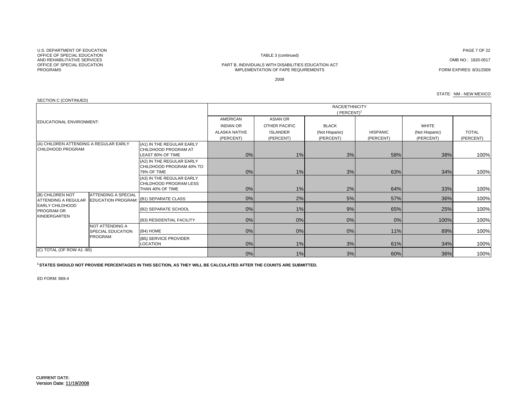U.S. DEPARTMENT OF EDUCATIONOFFICE OF SPECIAL EDUCATIONAND REHABILITATIVE SERVICES<br>OFFICE OF SPECIAL EDUCATION PROGRAMS

### TABLE 3 (continued)

### PART B, INDIVIDUALS WITH DISABILITIES EDUCATION ACT IMPLEMENTATION OF FAPE REQUIREMENTS FORM EXPIRES: 8/31/2009

N DISPONSIVE PAGE 7 OF 22 AND NOTE . AND NOTE THAT IS NOT THE RELEASED OF 22 AND NOTE 22 AND NOTE 22 AND NOTE 22

OMB NO.: 1820-0517

2008

### STATE: NM - NEW MEXICO

| SECTION C (CONTINUED)                                              |                                                               |                                                                        |                                     |                      |                |                 |                |              |  |  |
|--------------------------------------------------------------------|---------------------------------------------------------------|------------------------------------------------------------------------|-------------------------------------|----------------------|----------------|-----------------|----------------|--------------|--|--|
|                                                                    |                                                               |                                                                        | RACE/ETHNICITY<br>$($ PERCENT $)^1$ |                      |                |                 |                |              |  |  |
| <b>EDUCATIONAL ENVIRONMENT:</b>                                    |                                                               |                                                                        | <b>AMERICAN</b>                     | <b>ASIAN OR</b>      |                |                 |                |              |  |  |
|                                                                    |                                                               |                                                                        | <b>INDIAN OR</b>                    | <b>OTHER PACIFIC</b> | <b>BLACK</b>   |                 | <b>WHITE</b>   |              |  |  |
|                                                                    |                                                               |                                                                        | <b>ALASKA NATIVE</b>                | <b>ISLANDER</b>      | (Not Hispanic) | <b>HISPANIC</b> | (Not Hispanic) | <b>TOTAL</b> |  |  |
|                                                                    |                                                               |                                                                        | (PERCENT)                           | (PERCENT)            | (PERCENT)      | (PERCENT)       | (PERCENT)      | (PERCENT)    |  |  |
| (A) CHILDREN ATTENDING A REGULAR EARLY<br><b>CHILDHOOD PROGRAM</b> |                                                               | (A1) IN THE REGULAR EARLY<br>CHILDHOOD PROGRAM AT<br>LEAST 80% OF TIME | 0%                                  | 1%                   | 3%             | 58%             | 38%            | 100%         |  |  |
|                                                                    |                                                               | (A2) IN THE REGULAR EARLY                                              |                                     |                      |                |                 |                |              |  |  |
|                                                                    |                                                               | CHILDHOOD PROGRAM 40% TO<br>79% OF TIME                                | 0%                                  | 1%                   | 3%             | 63%             | 34%            | 100%         |  |  |
|                                                                    |                                                               | (A3) IN THE REGULAR EARLY<br><b>CHILDHOOD PROGRAM LESS</b>             |                                     |                      |                |                 |                |              |  |  |
|                                                                    |                                                               | THAN 40% OF TIME                                                       | 0%                                  | 1%                   | 2%             | 64%             | 33%            | 100%         |  |  |
| (B) CHILDREN NOT<br><b>ATTENDING A REGULAR</b>                     | ATTENDING A SPECIAL<br>EDUCATION PROGRAM: (B1) SEPARATE CLASS |                                                                        | 0%                                  | 2%                   | 5%             | 57%             | 36%            | 100%         |  |  |
| <b>EARLY CHILDHOOD</b><br><b>PROGRAM OR</b>                        |                                                               | (B2) SEPARATE SCHOOL                                                   | 0%                                  | 1%                   | 9%             | 65%             | 25%            | 100%         |  |  |
| KINDERGARTEN                                                       |                                                               | (B3) RESIDENTIAL FACILITY                                              | 0%                                  | 0%                   | $0\%$          | 0%              | 100%           | 100%         |  |  |
|                                                                    | <b>NOT ATTENDING A</b><br><b>SPECIAL EDUCATION</b>            | (B4) HOME                                                              | 0%                                  | 0%                   | 0%             | 11%             | 89%            | 100%         |  |  |
| PROGRAM:                                                           |                                                               | (B5) SERVICE PROVIDER<br><b>LOCATION</b>                               | 0%                                  | 1%                   | 3%             | 61%             | 34%            | 100%         |  |  |
| (C) TOTAL (OF ROW A1 -B5)                                          |                                                               |                                                                        | 0%                                  | 1%                   | 3%             | 60%             | 36%            | 100%         |  |  |

**1 STATES SHOULD NOT PROVIDE PERCENTAGES IN THIS SECTION, AS THEY WILL BE CALCULATED AFTER THE COUNTS ARE SUBMITTED.**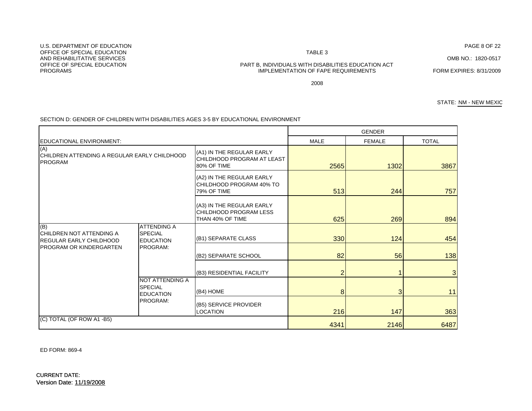TABLE 3

PAGE 8 OF 22

OMB NO.: 1820-0517

# OFFICE OF SPECIAL EDUCATION PART B, INDIVIDUALS WITH DISABILITIES EDUCATION ACT IMPLEMENTATION OF FAPE REQUIREMENTS FORM EXPIRES: 8/31/2009

2008

STATE: NM - NEW MEXIC

|                                                                       |                                                              |                                                                         | <b>GENDER</b>  |               |              |  |
|-----------------------------------------------------------------------|--------------------------------------------------------------|-------------------------------------------------------------------------|----------------|---------------|--------------|--|
| EDUCATIONAL ENVIRONMENT:                                              |                                                              |                                                                         | <b>MALE</b>    | <b>FEMALE</b> | <b>TOTAL</b> |  |
| (A)<br>CHILDREN ATTENDING A REGULAR EARLY CHILDHOOD<br><b>PROGRAM</b> |                                                              | (A1) IN THE REGULAR EARLY<br>CHILDHOOD PROGRAM AT LEAST<br>80% OF TIME  | 2565           | 1302          | 3867         |  |
|                                                                       |                                                              | (A2) IN THE REGULAR EARLY<br>CHILDHOOD PROGRAM 40% TO<br>79% OF TIME    | 513            | 244           | 757          |  |
|                                                                       |                                                              | (A3) IN THE REGULAR EARLY<br>CHILDHOOD PROGRAM LESS<br>THAN 40% OF TIME | 625            | 269           | 894          |  |
| (B)<br>CHILDREN NOT ATTENDING A<br><b>REGULAR EARLY CHILDHOOD</b>     | <b>ATTENDING A</b><br><b>SPECIAL</b><br><b>EDUCATION</b>     | (B1) SEPARATE CLASS                                                     | 330            | 124           | 454          |  |
| PROGRAM OR KINDERGARTEN                                               | PROGRAM:                                                     | (B2) SEPARATE SCHOOL                                                    | 82             | 56            | 138          |  |
|                                                                       |                                                              | (B3) RESIDENTIAL FACILITY                                               | $\overline{2}$ |               | 3            |  |
|                                                                       | <b>NOT ATTENDING A</b><br><b>SPECIAL</b><br><b>EDUCATION</b> | (B4) HOME                                                               | 8              | 3             | 11           |  |
|                                                                       | PROGRAM:                                                     | (B5) SERVICE PROVIDER<br><b>LOCATION</b>                                | 216            | 147           | 363          |  |
| (C) TOTAL (OF ROW A1 -B5)                                             |                                                              |                                                                         | 4341           | 2146          | 6487         |  |

SECTION D: GENDER OF CHILDREN WITH DISABILITIES AGES 3-5 BY EDUCATIONAL ENVIRONMENT

ED FORM: 869-4

CURRENT DATE: Version Date: 11/19/2008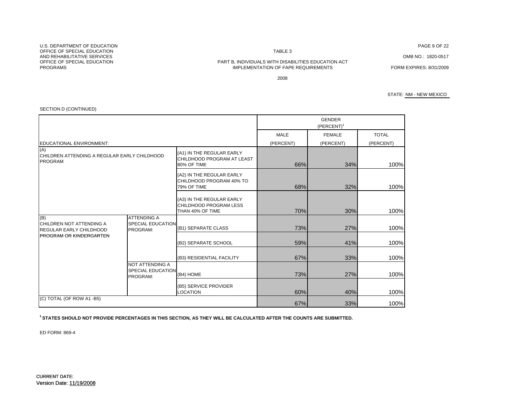TABLE 3

### OFFICE OF SPECIAL EDUCATION PART B, INDIVIDUALS WITH DISABILITIES EDUCATION ACT IMPLEMENTATION OF FAPE REQUIREMENTS FORM EXPIRES: 8/31/2009

PAGE 9 OF 22

OMB NO.: 1820-0517

2008

STATE: NM - NEW MEXICO

|                                                                       |                                                                |                                                                             |             | <b>GENDER</b><br>(PERCENT) |              |
|-----------------------------------------------------------------------|----------------------------------------------------------------|-----------------------------------------------------------------------------|-------------|----------------------------|--------------|
|                                                                       |                                                                |                                                                             | <b>MALE</b> | <b>FEMALE</b>              | <b>TOTAL</b> |
| EDUCATIONAL ENVIRONMENT:                                              |                                                                |                                                                             | (PERCENT)   | (PERCENT)                  | (PERCENT)    |
| (A)<br>CHILDREN ATTENDING A REGULAR EARLY CHILDHOOD<br><b>PROGRAM</b> |                                                                | (A1) IN THE REGULAR EARLY<br>CHILDHOOD PROGRAM AT LEAST<br>80% OF TIME      | 66%         | 34%                        | 100%         |
|                                                                       |                                                                | (A2) IN THE REGULAR EARLY<br>CHILDHOOD PROGRAM 40% TO<br><b>79% OF TIME</b> | 68%         | 32%                        | 100%         |
|                                                                       |                                                                | (A3) IN THE REGULAR EARLY<br>CHILDHOOD PROGRAM LESS<br>THAN 40% OF TIME     | 70%         | 30%                        | 100%         |
| (B)<br>CHILDREN NOT ATTENDING A<br><b>REGULAR EARLY CHILDHOOD</b>     | <b>ATTENDING A</b><br>SPECIAL EDUCATION<br>PROGRAM:            | (B1) SEPARATE CLASS                                                         | 73%         | 27%                        | 100%         |
| <b>PROGRAM OR KINDERGARTEN</b>                                        |                                                                | (B2) SEPARATE SCHOOL                                                        | 59%         | 41%                        | 100%         |
|                                                                       |                                                                | (B3) RESIDENTIAL FACILITY                                                   | 67%         | 33%                        | 100%         |
|                                                                       | <b>NOT ATTENDING A</b><br><b>SPECIAL EDUCATION</b><br>PROGRAM: | (B4) HOME                                                                   | 73%         | 27%                        | 100%         |
|                                                                       |                                                                | (B5) SERVICE PROVIDER<br><b>LOCATION</b>                                    | 60%         | 40%                        | 100%         |
| (C) TOTAL (OF ROW A1 -B5)                                             |                                                                |                                                                             | 67%         | 33%                        | 100%         |

### SECTION D (CONTINUED)

**1 STATES SHOULD NOT PROVIDE PERCENTAGES IN THIS SECTION, AS THEY WILL BE CALCULATED AFTER THE COUNTS ARE SUBMITTED.**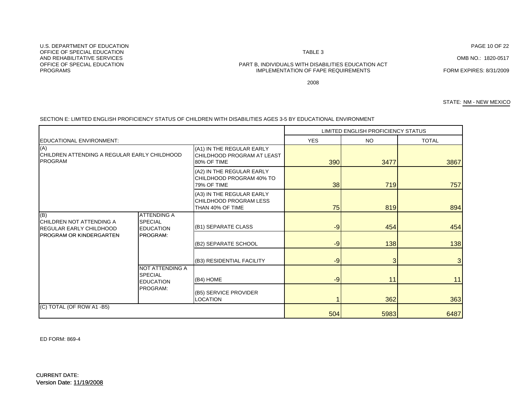# OFFICE OF SPECIAL EDUCATION PART B, INDIVIDUALS WITH DISABILITIES EDUCATION ACT IMPLEMENTATION OF FAPE REQUIREMENTS

TABLE 3

2008

STATE: NM - NEW MEXICO

|                                                                       |                                                              |                                                                         |            | LIMITED ENGLISH PROFICIENCY STATUS |              |  |  |
|-----------------------------------------------------------------------|--------------------------------------------------------------|-------------------------------------------------------------------------|------------|------------------------------------|--------------|--|--|
| EDUCATIONAL ENVIRONMENT:                                              |                                                              |                                                                         | <b>YES</b> | <b>NO</b>                          | <b>TOTAL</b> |  |  |
| (A)<br>CHILDREN ATTENDING A REGULAR EARLY CHILDHOOD<br><b>PROGRAM</b> |                                                              | (A1) IN THE REGULAR EARLY<br>CHILDHOOD PROGRAM AT LEAST<br>80% OF TIME  | 390        | 3477                               | 3867         |  |  |
|                                                                       |                                                              | (A2) IN THE REGULAR EARLY<br>CHILDHOOD PROGRAM 40% TO<br>79% OF TIME    | 38         | 719                                | 757          |  |  |
|                                                                       |                                                              | (A3) IN THE REGULAR EARLY<br>CHILDHOOD PROGRAM LESS<br>THAN 40% OF TIME | 75         | 819                                | 894          |  |  |
| (B)<br>CHILDREN NOT ATTENDING A<br><b>REGULAR EARLY CHILDHOOD</b>     | <b>ATTENDING A</b><br><b>SPECIAL</b><br><b>EDUCATION</b>     | (B1) SEPARATE CLASS                                                     | $-9$       | 454                                | 454          |  |  |
| <b>PROGRAM OR KINDERGARTEN</b>                                        | PROGRAM:                                                     | (B2) SEPARATE SCHOOL                                                    | $-9$       | 138                                | 138          |  |  |
|                                                                       |                                                              | (B3) RESIDENTIAL FACILITY                                               | $-9$       |                                    | $\mathbf{3}$ |  |  |
|                                                                       | <b>NOT ATTENDING A</b><br><b>SPECIAL</b><br><b>EDUCATION</b> | (B4) HOME                                                               | $-9$       | 11                                 | 11           |  |  |
|                                                                       | PROGRAM:                                                     | (B5) SERVICE PROVIDER<br><b>LOCATION</b>                                |            | 362                                | 363          |  |  |
| (C) TOTAL (OF ROW A1 -B5)                                             |                                                              |                                                                         | 504        | 5983                               | 6487         |  |  |

# SECTION E: LIMITED ENGLISH PROFICIENCY STATUS OF CHILDREN WITH DISABILITIES AGES 3-5 BY EDUCATIONAL ENVIRONMENT

ED FORM: 869-4

PAGE 10 OF 22

OMB NO.: 1820-0517

FORM EXPIRES: 8/31/2009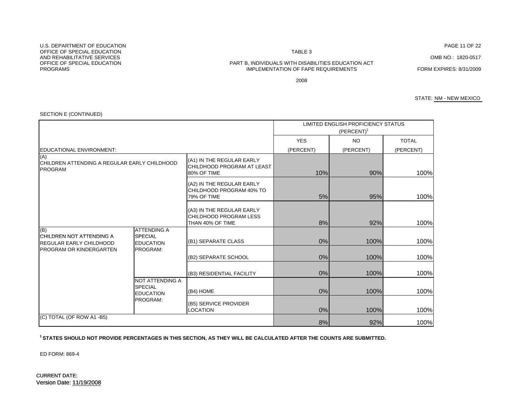### TABLE 3

# OFFICE OF SPECIAL EDUCATION PART B, INDIVIDUALS WITH DISABILITIES EDUCATION ACT IMPLEMENTATION OF FAPE REQUIREMENTS FORM EXPIRES: 8/31/2009

PAGE 11 OF 22

OMB NO.: 1820-0517

2008

STATE: NM - NEW MEXICO

|                                                                               |                                                          |                                                                               |            | LIMITED ENGLISH PROFICIENCY STATUS<br>$(PERCENT)^1$ |              |
|-------------------------------------------------------------------------------|----------------------------------------------------------|-------------------------------------------------------------------------------|------------|-----------------------------------------------------|--------------|
|                                                                               |                                                          |                                                                               | <b>YES</b> | <b>NO</b>                                           | <b>TOTAL</b> |
| <b>EDUCATIONAL ENVIRONMENT:</b>                                               | (PERCENT)                                                | (PERCENT)                                                                     | (PERCENT)  |                                                     |              |
| (A)<br><b>ICHILDREN ATTENDING A REGULAR EARLY CHILDHOOD</b><br><b>PROGRAM</b> |                                                          | (A1) IN THE REGULAR EARLY<br><b>CHILDHOOD PROGRAM AT LEAST</b><br>80% OF TIME | 10%        | 90%                                                 | 100%         |
|                                                                               |                                                          | (A2) IN THE REGULAR EARLY<br>CHILDHOOD PROGRAM 40% TO<br>79% OF TIME          | 5%         | 95%                                                 | 100%         |
|                                                                               |                                                          | (A3) IN THE REGULAR EARLY<br>CHILDHOOD PROGRAM LESS<br>THAN 40% OF TIME       | 8%         | 92%                                                 | 100%         |
| (B)<br><b>ICHILDREN NOT ATTENDING A</b><br><b>REGULAR EARLY CHILDHOOD</b>     | <b>ATTENDING A</b><br><b>SPECIAL</b><br><b>EDUCATION</b> | (B1) SEPARATE CLASS                                                           | 0%         | 100%                                                | 100%         |
| <b>PROGRAM OR KINDERGARTEN</b>                                                | PROGRAM:                                                 | (B2) SEPARATE SCHOOL                                                          | 0%         | 100%                                                | 100%         |
|                                                                               |                                                          | (B3) RESIDENTIAL FACILITY                                                     | 0%         | 100%                                                | 100%         |
| <b>NOT ATTENDING A</b><br><b>SPECIAL</b><br><b>EDUCATION</b>                  |                                                          | (B4) HOME                                                                     | 0%         | 100%                                                | 100%         |
|                                                                               | PROGRAM:                                                 | (B5) SERVICE PROVIDER<br><b>LOCATION</b>                                      | 0%         | 100%                                                | 100%         |
| (C) TOTAL (OF ROW A1 -B5)                                                     |                                                          |                                                                               | 8%         | 92%                                                 | 100%         |

## SECTION E (CONTINUED)

**1 STATES SHOULD NOT PROVIDE PERCENTAGES IN THIS SECTION, AS THEY WILL BE CALCULATED AFTER THE COUNTS ARE SUBMITTED.**

ED FORM: 869-4

CURRENT DATE: Version Date: 11/19/2008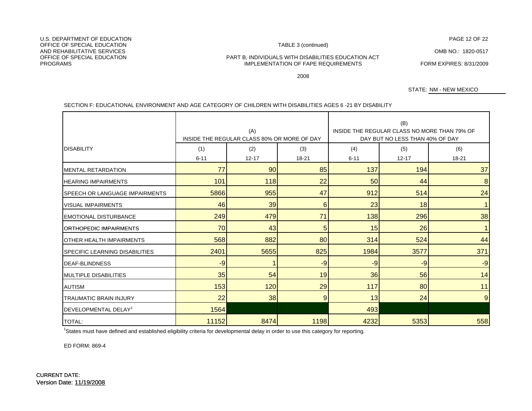PAGE 12 OF 22<br>TABLE 3 (continued)

OMB NO.: 1820-0517

OFFICE OF SPECIAL EDUCATION PART B, INDIVIDUALS WITH DISABILITIES EDUCATION ACT **PROGRAMS** THE REQUIREMENTATION OF FAPE REQUIREMENTS FORM EXPIRES: 8/31/2009

2008

STATE: NM - NEW MEXICO

# SECTION F: EDUCATIONAL ENVIRONMENT AND AGE CATEGORY OF CHILDREN WITH DISABILITIES AGES 6 -21 BY DISABILITY

|                                        | (A)<br>INSIDE THE REGULAR CLASS 80% OR MORE OF DAY |                  |                  | (B)<br>INSIDE THE REGULAR CLASS NO MORE THAN 79% OF<br>DAY BUT NO LESS THAN 40% OF DAY |                  |              |  |
|----------------------------------------|----------------------------------------------------|------------------|------------------|----------------------------------------------------------------------------------------|------------------|--------------|--|
| <b>DISABILITY</b>                      | (1)<br>$6 - 11$                                    | (2)<br>$12 - 17$ | (3)<br>18-21     | (4)<br>$6 - 11$                                                                        | (5)<br>$12 - 17$ | (6)<br>18-21 |  |
| <b>MENTAL RETARDATION</b>              | 77                                                 | 90               | 85               | 137                                                                                    | 194              | 37           |  |
| <b>HEARING IMPAIRMENTS</b>             | 101                                                | 118              | 22               | 50                                                                                     | 44               | $\bf 8$      |  |
| <b>ISPEECH OR LANGUAGE IMPAIRMENTS</b> | 5866                                               | 955              | 47               | 912                                                                                    | 514              | 24           |  |
| <b>VISUAL IMPAIRMENTS</b>              | 46                                                 | 39               | 6                | 23                                                                                     | 18               | $\mathbf{1}$ |  |
| <b>EMOTIONAL DISTURBANCE</b>           | 249                                                | 479              | 71               | 138                                                                                    | 296              | 38           |  |
| <b>ORTHOPEDIC IMPAIRMENTS</b>          | 70                                                 | 43               | 5                | 15                                                                                     | 26               | 1            |  |
| <b>IOTHER HEALTH IMPAIRMENTS</b>       | 568                                                | 882              | 80               | 314                                                                                    | 524              | 44           |  |
| <b>SPECIFIC LEARNING DISABILITIES</b>  | 2401                                               | 5655             | 825              | 1984                                                                                   | 3577             | 371          |  |
| <b>IDEAF-BLINDNESS</b>                 | -9                                                 |                  | $-9$             | $-9$                                                                                   | $-9$             | -9           |  |
| <b>MULTIPLE DISABILITIES</b>           | 35                                                 | 54               | 19               | 36                                                                                     | 56               | 14           |  |
| <b>AUTISM</b>                          | 153                                                | 120              | 29               | 117                                                                                    | 80               | 11           |  |
| <b>TRAUMATIC BRAIN INJURY</b>          | 22                                                 | 38               | $\boldsymbol{9}$ | 13                                                                                     | 24               | 9            |  |
| DEVELOPMENTAL DELAY <sup>1</sup>       | 1564                                               |                  |                  | 493                                                                                    |                  |              |  |
| <b>TOTAL:</b>                          | 11152                                              | 8474             | 1198             | 4232                                                                                   | 5353             | 558          |  |

<sup>1</sup>States must have defined and established eligibility criteria for developmental delay in order to use this category for reporting.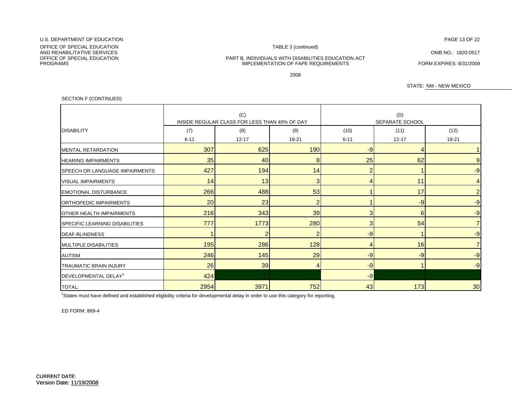### U.S. DEPARTMENT OF EDUCATIONN DISPONSIVE PAGE 13 OF 22 AND THE SERVICE OF STATE OF STATE OF 22 AND THE SERVICE OF 22 AND THE SERVICE OF 22

OFFICE OF SPECIAL EDUCATION **TABLE 3** (continued) AND REHABILITATIVE SERVICESAND REHABILITATIVE SERVICES GARD COMB NO.: 1820-0517<br>OFFICE OF SPECIAL EDUCATION COMBINERY CONTROLLED BART B, INDIVIDUALS WITH DISABILITIES EDUCATION ACT PROGRAMS

PART B, INDIVIDUALS WITH DISABILITIES EDUCATION ACT IMPLEMENTATION OF FAPE REQUIREMENTS FORM EXPIRES: 8/31/2009

2008

STATE: NM - NEW MEXICO

# SECTION F (CONTINUED)

|                                       |                                               | (C)            |                          |                 | (D)       |                |  |
|---------------------------------------|-----------------------------------------------|----------------|--------------------------|-----------------|-----------|----------------|--|
|                                       | INSIDE REGULAR CLASS FOR LESS THAN 40% OF DAY |                |                          | SEPARATE SCHOOL |           |                |  |
| <b>DISABILITY</b>                     | (7)                                           | (8)            | (9)                      | (10)            | (11)      | (12)           |  |
|                                       | $6 - 11$                                      | $12 - 17$      | $18 - 21$                | $6 - 11$        | $12 - 17$ | 18-21          |  |
| MENTAL RETARDATION                    | 307                                           | 625            | 190                      | $-9$            | 4         |                |  |
| <b>HEARING IMPAIRMENTS</b>            | 35                                            | 40             | 8                        | 25              | 62        | 9              |  |
| <b>SPEECH OR LANGUAGE IMPAIRMENTS</b> | 427                                           | 194            | 14                       | $\overline{2}$  |           | $-9$           |  |
| <b>VISUAL IMPAIRMENTS</b>             | 14                                            | 13             | 3                        |                 | 11        | 4              |  |
| <b>EMOTIONAL DISTURBANCE</b>          | 266                                           | 488            | 53                       |                 | 17        | $\overline{2}$ |  |
| ORTHOPEDIC IMPAIRMENTS                | 20                                            | 23             | $\overline{2}$           |                 | $-9$      | $-9$           |  |
| <b>OTHER HEALTH IMPAIRMENTS</b>       | 216                                           | 343            | 39                       | 3 <sub>l</sub>  | 6         | $-9$           |  |
| <b>SPECIFIC LEARNING DISABILITIES</b> | 777                                           | 1773           | 280                      | 3               | 54        | $\overline{7}$ |  |
| <b>IDEAF-BLINDNESS</b>                |                                               | $\overline{c}$ | $\overline{\phantom{a}}$ | $-9$            |           | $-9$           |  |
| <b>MULTIPLE DISABILITIES</b>          | 195                                           | 286            | 128                      |                 | 16        | $\overline{7}$ |  |
| <b>AUTISM</b>                         | 246                                           | 145            | 29                       | $-9$            | -9        | -9             |  |
| <b>TRAUMATIC BRAIN INJURY</b>         | 26                                            | 39             |                          | $-9$            |           | $-9$           |  |
| DEVELOPMENTAL DELAY <sup>1</sup>      | 424                                           |                |                          | $-9$            |           |                |  |
| <b>TOTAL:</b>                         | 2954                                          | 3971           | 752                      | 43              | 173       | 30             |  |

<sup>1</sup>States must have defined and established eligibility criteria for developmental delay in order to use this category for reporting.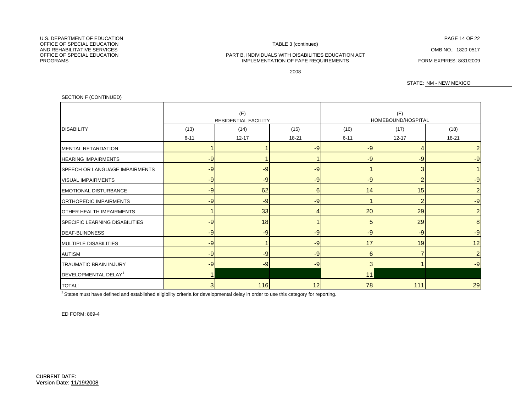U.S. DEPARTMENT OF EDUCATIONOFFICE OF SPECIAL EDUCATION **TABLE 3** (continued) AND REHABILITATIVE SERVICESAND REHABILITATIVE SERVICES COMB NO.: 1820-0517<br>OFFICE OF SPECIAL EDUCATION COMB NO.: 1820-0517 PROGRAMS

N FAGE 14 OF 22

### PART B, INDIVIDUALS WITH DISABILITIES EDUCATION ACT IMPLEMENTATION OF FAPE REQUIREMENTS FORM EXPIRES: 8/31/2009

2008

STATE: NM - NEW MEXICO

## SECTION F (CONTINUED)

|                                       |          | (E)<br><b>RESIDENTIAL FACILITY</b> |           | (F)<br>HOMEBOUND/HOSPITAL |                |                |  |
|---------------------------------------|----------|------------------------------------|-----------|---------------------------|----------------|----------------|--|
| <b>DISABILITY</b>                     | (13)     | (14)                               | (15)      | (16)                      | (17)           | (18)           |  |
|                                       | $6 - 11$ | $12 - 17$                          | $18 - 21$ | $6 - 11$                  | $12 - 17$      | $18 - 21$      |  |
| <b>MENTAL RETARDATION</b>             |          |                                    | $-9$      | $-9$                      | 4              | 2              |  |
| <b>HEARING IMPAIRMENTS</b>            | $-9$     |                                    |           | $-9$                      | $-9$           | $-9$           |  |
| <b>SPEECH OR LANGUAGE IMPAIRMENTS</b> | $-9$     | -9                                 | -9        |                           | 3              |                |  |
| <b>VISUAL IMPAIRMENTS</b>             | $-9$     | -9                                 | -9        | $-9$                      | $\overline{2}$ | $-9$           |  |
| <b>EMOTIONAL DISTURBANCE</b>          | $-9$     | 62                                 | 6         | 14                        | 15             | $\overline{c}$ |  |
| ORTHOPEDIC IMPAIRMENTS                | $-9$     | $-9$                               | -9        |                           | $\overline{2}$ | $-9$           |  |
| <b>OTHER HEALTH IMPAIRMENTS</b>       |          | 33                                 |           | 20                        | 29             | $\overline{c}$ |  |
| <b>SPECIFIC LEARNING DISABILITIES</b> | $-9$     | 18                                 |           | 5                         | 29             | $\bf{8}$       |  |
| <b>IDEAF-BLINDNESS</b>                | $-9$     | $-9$                               | -9        | $-9$                      | $-9$           | $-9$           |  |
| <b>MULTIPLE DISABILITIES</b>          | $-9$     |                                    | $-9$      | 17                        | 19             | 12             |  |
| <b>AUTISM</b>                         | $-9$     | -9                                 | -9        | 6                         | 7              | $\overline{2}$ |  |
| <b>TRAUMATIC BRAIN INJURY</b>         | $-9$     | $-9$                               | $-9$      | 3                         |                | $-9$           |  |
| DEVELOPMENTAL DELAY <sup>1</sup>      | 1        |                                    |           | 11                        |                |                |  |
| <b>TOTAL:</b>                         | 3        | 116                                | 12        | 78                        | 111            | 29             |  |

1 States must have defined and established eligibility criteria for developmental delay in order to use this category for reporting.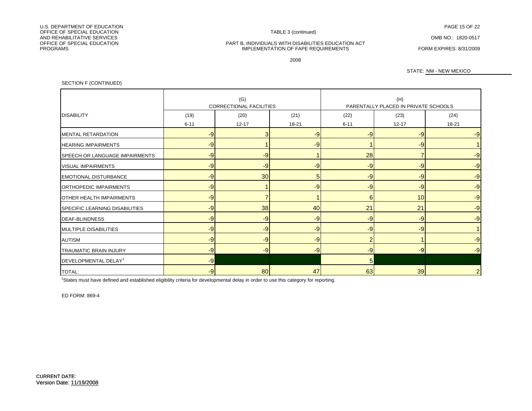IMPLEMENTATION OF FAPE REQUIREMENTS FORM EXPIRES: 8/31/2009

2008

### STATE: NM - NEW MEXICO

### SECTION F (CONTINUED)

|                                       | (G)      |                                |           |                | (H)                                  |                |  |
|---------------------------------------|----------|--------------------------------|-----------|----------------|--------------------------------------|----------------|--|
|                                       |          | <b>CORRECTIONAL FACILITIES</b> |           |                | PARENTALLY PLACED IN PRIVATE SCHOOLS |                |  |
| <b>DISABILITY</b>                     | (19)     | (20)                           | (21)      | (22)           | (23)                                 | (24)           |  |
|                                       | $6 - 11$ | $12 - 17$                      | $18 - 21$ | $6 - 11$       | $12 - 17$                            | 18-21          |  |
| MENTAL RETARDATION                    | $-9$     | 3                              | -9        | $-9$           | $-9$                                 | $-9$           |  |
| <b>HEARING IMPAIRMENTS</b>            | $-9$     |                                | -9        |                | -9                                   |                |  |
| <b>SPEECH OR LANGUAGE IMPAIRMENTS</b> | $-9$     | -9                             |           | 28             |                                      | $-9$           |  |
| <b>VISUAL IMPAIRMENTS</b>             | $-9$     | $-9$                           | -9        | -9             | -9                                   | $-9$           |  |
| <b>EMOTIONAL DISTURBANCE</b>          | $-9$     | 30                             | 5         | $-9$           | $-9$                                 | $-9$           |  |
| <b>ORTHOPEDIC IMPAIRMENTS</b>         | $-9$     |                                | -9        | $-9$           | $-9$                                 | $-9$           |  |
| <b>OTHER HEALTH IMPAIRMENTS</b>       | $-9$     | ⇁                              |           | 6              | 10                                   | $-9$           |  |
| <b>SPECIFIC LEARNING DISABILITIES</b> | $-9$     | 38                             | 40        | 21             | 21                                   | $-9$           |  |
| <b>IDEAF-BLINDNESS</b>                | $-9$     | $-9$                           | -9        | $-9$           | $-9$                                 | $-9$           |  |
| <b>MULTIPLE DISABILITIES</b>          | $-9$     | $-9$                           | $-9$      | $-9$           | $-9$                                 | $\mathbf{1}$   |  |
| <b>AUTISM</b>                         | $-9$     | $-9$                           | -9        | 2              |                                      | $-9$           |  |
| <b>TRAUMATIC BRAIN INJURY</b>         | $-9$     | -9                             | $-9$      | $-9$           | $-9$                                 | $-9$           |  |
| DEVELOPMENTAL DELAY <sup>1</sup>      | $-9$     |                                |           | 5 <sub>1</sub> |                                      |                |  |
| <b>TOTAL:</b>                         | $-9$     | 80                             | 47        | 63             | 39                                   | $\overline{a}$ |  |

1States must have defined and established eligibility criteria for developmental delay in order to use this category for reporting.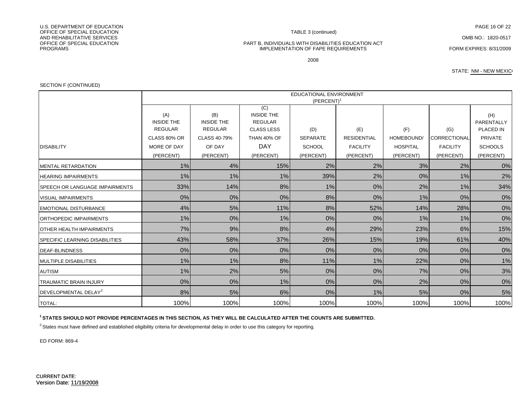U.S. DEPARTMENT OF EDUCATIONN FAGE 16 OF 22 OFFICE OF SPECIAL EDUCATIONAND REHABILITATIVE SERVICESAND REHABILITATIVE SERVICES GARD COMB NO.: 1820-0517<br>OFFICE OF SPECIAL EDUCATION COMB NO.: 1820-0517 PROGRAMS

### TABLE 3 (continued)

### PART B, INDIVIDUALS WITH DISABILITIES EDUCATION ACT IMPLEMENTATION OF FAPE REQUIREMENTS FORM EXPIRES: 8/31/2009

STATE: NM - NEW MEXICO

## SECTION F (CONTINUED)

|                                       |                                     | <b>EDUCATIONAL ENVIRONMENT</b><br>(PERCENT) |                                     |                 |                    |                 |                 |                         |  |  |
|---------------------------------------|-------------------------------------|---------------------------------------------|-------------------------------------|-----------------|--------------------|-----------------|-----------------|-------------------------|--|--|
|                                       | (A)                                 | (B)                                         | (C)<br><b>INSIDE THE</b>            |                 |                    |                 |                 | (H)                     |  |  |
|                                       | <b>INSIDE THE</b><br><b>REGULAR</b> | <b>INSIDE THE</b><br><b>REGULAR</b>         | <b>REGULAR</b><br><b>CLASS LESS</b> | (D)             | (E)                | (F)             | (G)             | PARENTALLY<br>PLACED IN |  |  |
|                                       | CLASS 80% OR                        | CLASS 40-79%                                | <b>THAN 40% OF</b>                  | <b>SEPARATE</b> | <b>RESIDENTIAL</b> | HOMEBOUND/      | CORRECTIONAL    | <b>PRIVATE</b>          |  |  |
| <b>DISABILITY</b>                     | MORE OF DAY                         | OF DAY                                      | <b>DAY</b>                          | <b>SCHOOL</b>   | <b>FACILITY</b>    | <b>HOSPITAL</b> | <b>FACILITY</b> | <b>SCHOOLS</b>          |  |  |
|                                       | (PERCENT)                           | (PERCENT)                                   | (PERCENT)                           | (PERCENT)       | (PERCENT)          | (PERCENT)       | (PERCENT)       | (PERCENT)               |  |  |
| <b>MENTAL RETARDATION</b>             | 1%                                  | 4%                                          | 15%                                 | 2%              | 2%                 | 3%              | 2%              | 0%                      |  |  |
| <b>HEARING IMPAIRMENTS</b>            | 1%                                  | 1%                                          | 1%                                  | 39%             | 2%                 | 0%              | 1%              | 2%                      |  |  |
| <b>SPEECH OR LANGUAGE IMPAIRMENTS</b> | 33%                                 | 14%                                         | 8%                                  | 1%              | 0%                 | 2%              | 1%              | 34%                     |  |  |
| <b>VISUAL IMPAIRMENTS</b>             | 0%                                  | 0%                                          | 0%                                  | 8%              | 0%                 | 1%              | 0%              | 0%                      |  |  |
| <b>EMOTIONAL DISTURBANCE</b>          | 4%                                  | 5%                                          | 11%                                 | 8%              | 52%                | 14%             | 28%             | 0%                      |  |  |
| ORTHOPEDIC IMPAIRMENTS                | 1%                                  | 0%                                          | 1%                                  | 0%              | 0%                 | 1%              | 1%              | 0%                      |  |  |
| <b>OTHER HEALTH IMPAIRMENTS</b>       | 7%                                  | 9%                                          | 8%                                  | 4%              | 29%                | 23%             | 6%              | 15%                     |  |  |
| <b>SPECIFIC LEARNING DISABILITIES</b> | 43%                                 | 58%                                         | 37%                                 | 26%             | 15%                | 19%             | 61%             | 40%                     |  |  |
| DEAF-BLINDNESS                        | 0%                                  | 0%                                          | 0%                                  | $0\%$           | 0%                 | 0%              | 0%              | 0%                      |  |  |
| <b>MULTIPLE DISABILITIES</b>          | 1%                                  | 1%                                          | 8%                                  | 11%             | 1%                 | 22%             | 0%              | 1%                      |  |  |
| <b>AUTISM</b>                         | $1\%$                               | 2%                                          | 5%                                  | 0%              | 0%                 | 7%              | $0\%$           | 3%                      |  |  |
| <b>TRAUMATIC BRAIN INJURY</b>         | 0%                                  | 0%                                          | 1%                                  | $0\%$           | 0%                 | 2%              | $0\%$           | 0%                      |  |  |
| DEVELOPMENTAL DELAY <sup>2</sup>      | 8%                                  | 5%                                          | 6%                                  | $0\%$           | 1%                 | 5%              | 0%              | 5%                      |  |  |
| <b>TOTAL:</b>                         | 100%                                | 100%                                        | 100%                                | 100%            | 100%               | 100%            | 100%            | 100%                    |  |  |

**1 STATES SHOULD NOT PROVIDE PERCENTAGES IN THIS SECTION, AS THEY WILL BE CALCULATED AFTER THE COUNTS ARE SUBMITTED.**

 $2$  States must have defined and established eligibility criteria for developmental delay in order to use this category for reporting.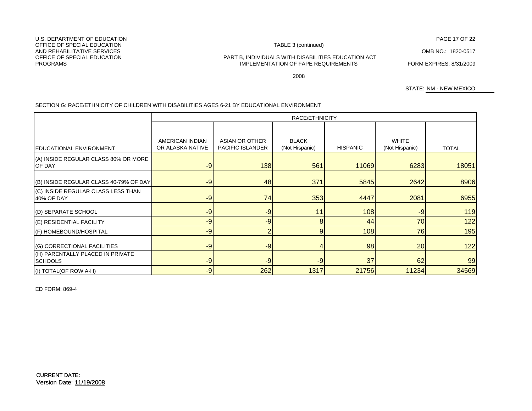PAGE 17 OF 22<br>TABLE 3 (continued)

OMB NO.: 1820-0517

# OFFICE OF SPECIAL EDUCATION PART B, INDIVIDUALS WITH DISABILITIES EDUCATION ACT IMPLEMENTATION OF FAPE REQUIREMENTS FORM EXPIRES: 8/31/2009

2008

STATE: NM - NEW MEXICO

# SECTION G: RACE/ETHNICITY OF CHILDREN WITH DISABILITIES AGES 6-21 BY EDUCATIONAL ENVIRONMENT

|                                                    |                                     | RACE/ETHNICITY                     |                                |                 |                                |              |  |  |
|----------------------------------------------------|-------------------------------------|------------------------------------|--------------------------------|-----------------|--------------------------------|--------------|--|--|
|                                                    |                                     |                                    |                                |                 |                                |              |  |  |
| <b>EDUCATIONAL ENVIRONMENT</b>                     | AMERICAN INDIAN<br>OR ALASKA NATIVE | ASIAN OR OTHER<br>PACIFIC ISLANDER | <b>BLACK</b><br>(Not Hispanic) | <b>HISPANIC</b> | <b>WHITE</b><br>(Not Hispanic) | <b>TOTAL</b> |  |  |
| (A) INSIDE REGULAR CLASS 80% OR MORE<br>OF DAY     | $-9$                                | 138                                | 561                            | 11069           | 6283                           | 18051        |  |  |
| (B) INSIDE REGULAR CLASS 40-79% OF DAY             | $-9$                                | 48                                 | 371                            | 5845            | 2642                           | 8906         |  |  |
| (C) INSIDE REGULAR CLASS LESS THAN<br>40% OF DAY   | $-9$                                | 74                                 | 353                            | 4447            | 2081                           | 6955         |  |  |
| (D) SEPARATE SCHOOL                                | $-9$                                | $-9$                               | 11                             | 108             | $-9$                           | 119          |  |  |
| (E) RESIDENTIAL FACILITY                           | $-9$                                | $-9$                               | 8                              | 44              | <b>70</b>                      | 122          |  |  |
| (F) HOMEBOUND/HOSPITAL                             | $-9$                                | 2                                  | 9                              | 108             | <b>76</b>                      | 195          |  |  |
| (G) CORRECTIONAL FACILITIES                        | $-9$                                | $-9$                               |                                | 98              | 20                             | 122          |  |  |
| (H) PARENTALLY PLACED IN PRIVATE<br><b>SCHOOLS</b> | $-9$                                | $-9$                               | $-9$                           | 37              | 62                             | 99           |  |  |
| (I) TOTAL(OF ROW A-H)                              | $-9$                                | 262                                | 1317                           | 21756           | 11234                          | 34569        |  |  |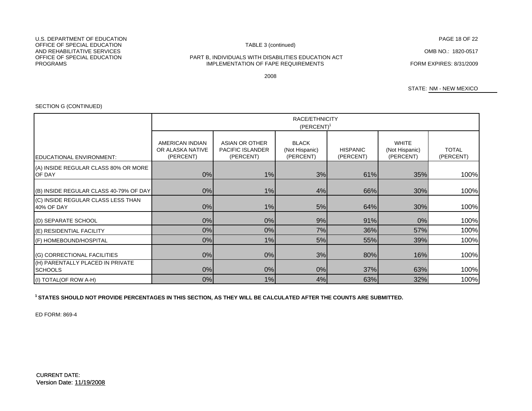## U.S. DEPARTMENT OF EDUCATIONOFFICE OF SPECIAL EDUCATION AND REHABILITATIVE SERVICESOFFICE OF SPECIAL EDUCATIONPROGRAMS

# TABLE 3 (continued)

# FORM EXPIRES: 8/31/2009 IMPLEMENTATION OF FAPE REQUIREMENTS PART B, INDIVIDUALS WITH DISABILITIES EDUCATION ACT

2008

STATE: NM - NEW MEXICO

# SECTION G (CONTINUED)

|                                                    |                                                  | RACE/ETHNICITY<br>$(PERCENT)^1$                        |                                             |                              |                                             |                           |  |  |
|----------------------------------------------------|--------------------------------------------------|--------------------------------------------------------|---------------------------------------------|------------------------------|---------------------------------------------|---------------------------|--|--|
| EDUCATIONAL ENVIRONMENT:                           | AMERICAN INDIAN<br>OR ALASKA NATIVE<br>(PERCENT) | ASIAN OR OTHER<br><b>PACIFIC ISLANDER</b><br>(PERCENT) | <b>BLACK</b><br>(Not Hispanic)<br>(PERCENT) | <b>HISPANIC</b><br>(PERCENT) | <b>WHITE</b><br>(Not Hispanic)<br>(PERCENT) | <b>TOTAL</b><br>(PERCENT) |  |  |
| (A) INSIDE REGULAR CLASS 80% OR MORE<br>OF DAY     | 0%                                               | 1%                                                     | 3%                                          | 61%                          | 35%                                         | 100%                      |  |  |
| (B) INSIDE REGULAR CLASS 40-79% OF DAY             | 0%                                               | 1%                                                     | 4%                                          | 66%                          | 30%                                         | 100%                      |  |  |
| (C) INSIDE REGULAR CLASS LESS THAN<br>40% OF DAY   | 0%                                               | 1%                                                     | 5%                                          | 64%                          | 30%                                         | 100%                      |  |  |
| (D) SEPARATE SCHOOL                                | 0%                                               | 0%                                                     | 9%                                          | 91%                          | 0%                                          | 100%                      |  |  |
| (E) RESIDENTIAL FACILITY                           | 0%                                               | 0%                                                     | 7%                                          | 36%                          | 57%                                         | 100%                      |  |  |
| (F) HOMEBOUND/HOSPITAL                             | 0%                                               | 1%                                                     | 5%                                          | 55%                          | 39%                                         | 100%                      |  |  |
| (G) CORRECTIONAL FACILITIES                        | 0%                                               | 0%                                                     | 3%                                          | 80%                          | 16%                                         | 100%                      |  |  |
| (H) PARENTALLY PLACED IN PRIVATE<br><b>SCHOOLS</b> | 0%                                               | 0%                                                     | 0%                                          | 37%                          | 63%                                         | 100%                      |  |  |
| (I) TOTAL(OF ROW A-H)                              | 0%                                               | 1%                                                     | 4%                                          | 63%                          | 32%                                         | 100%                      |  |  |

**1 STATES SHOULD NOT PROVIDE PERCENTAGES IN THIS SECTION, AS THEY WILL BE CALCULATED AFTER THE COUNTS ARE SUBMITTED.**

ED FORM: 869-4

PAGE 18 OF 22

OMB NO.: 1820-0517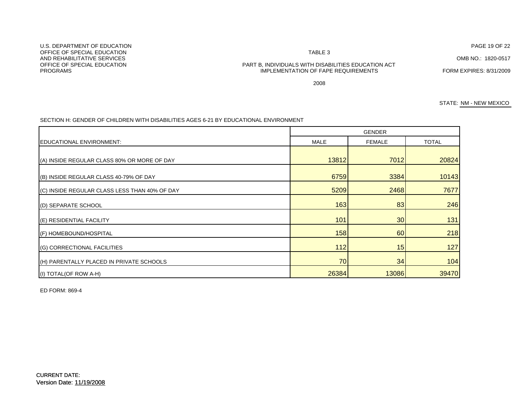# OFFICE OF SPECIAL EDUCATION PART B, INDIVIDUALS WITH DISABILITIES EDUCATION ACT IMPLEMENTATION OF FAPE REQUIREMENTS FORM EXPIRES: 8/31/2009

TABLE 3

2008

STATE: NM - NEW MEXICO

# SECTION H: GENDER OF CHILDREN WITH DISABILITIES AGES 6-21 BY EDUCATIONAL ENVIRONMENT

|                                               |             | <b>GENDER</b>   |              |
|-----------------------------------------------|-------------|-----------------|--------------|
| EDUCATIONAL ENVIRONMENT:                      | <b>MALE</b> | <b>FEMALE</b>   | <b>TOTAL</b> |
| (A) INSIDE REGULAR CLASS 80% OR MORE OF DAY   | 13812       | 7012            | 20824        |
| (B) INSIDE REGULAR CLASS 40-79% OF DAY        | 6759        | 3384            | 10143        |
| (C) INSIDE REGULAR CLASS LESS THAN 40% OF DAY | 5209        | 2468            | 7677         |
| (D) SEPARATE SCHOOL                           | 163         | 83              | 246          |
| (E) RESIDENTIAL FACILITY                      | 101         | 30 <sup>°</sup> | 131          |
| (F) HOMEBOUND/HOSPITAL                        | 158         | 60              | 218          |
| (G) CORRECTIONAL FACILITIES                   | 112         | 15              | 127          |
| (H) PARENTALLY PLACED IN PRIVATE SCHOOLS      | 70          | 34              | 104          |
| (I) TOTAL(OF ROW A-H)                         | 26384       | 13086           | 39470        |

ED FORM: 869-4

PAGE 19 OF 22

OMB NO.: 1820-0517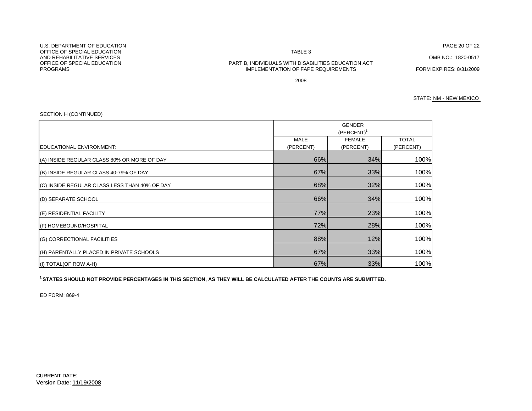N TABLE 3

# OFFICE OF SPECIAL EDUCATION PART B, INDIVIDUALS WITH DISABILITIES EDUCATION ACT IMPLEMENTATION OF FAPE REQUIREMENTS FORM EXPIRES: 8/31/2009

PAGE 20 OF 22

OMB NO.: 1820-0517

2008

# STATE: NM - NEW MEXICO

# SECTION H (CONTINUED)

|                                               | <b>GENDER</b><br>$(PERCENT)^T$ |               |              |
|-----------------------------------------------|--------------------------------|---------------|--------------|
|                                               | <b>MALE</b>                    | <b>FEMALE</b> | <b>TOTAL</b> |
| <b>IEDUCATIONAL ENVIRONMENT:</b>              | (PERCENT)                      | (PERCENT)     | (PERCENT)    |
| (A) INSIDE REGULAR CLASS 80% OR MORE OF DAY   | 66%                            | 34%           | 100%         |
| (B) INSIDE REGULAR CLASS 40-79% OF DAY        | 67%                            | 33%           | 100%         |
| (C) INSIDE REGULAR CLASS LESS THAN 40% OF DAY | 68%                            | 32%           | 100%         |
| (D) SEPARATE SCHOOL                           | 66%                            | 34%           | 100%         |
| (E) RESIDENTIAL FACILITY                      | 77%                            | 23%           | 100%         |
| (F) HOMEBOUND/HOSPITAL                        | 72%                            | 28%           | 100%         |
| (G) CORRECTIONAL FACILITIES                   | 88%                            | 12%           | 100%         |
| (H) PARENTALLY PLACED IN PRIVATE SCHOOLS      | 67%                            | 33%           | 100%         |
| (I) TOTAL(OF ROW A-H)                         | 67%                            | 33%           | 100%         |

**1 STATES SHOULD NOT PROVIDE PERCENTAGES IN THIS SECTION, AS THEY WILL BE CALCULATED AFTER THE COUNTS ARE SUBMITTED.**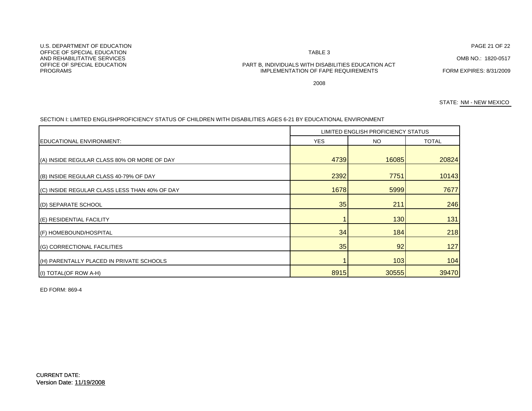OFFICE OF SPECIAL EDUCATION PART B, INDIVIDUALS WITH DISABILITIES EDUCATION ACT IMPLEMENTATION OF FAPE REQUIREMENTS FORM EXPIRES: 8/31/2009

2008

STATE: NM - NEW MEXICO

|                                                                                                                                                                                                                                                                                                                            |            | LIMITED ENGLISH PROFICIENCY STATUS |              |  |  |  |
|----------------------------------------------------------------------------------------------------------------------------------------------------------------------------------------------------------------------------------------------------------------------------------------------------------------------------|------------|------------------------------------|--------------|--|--|--|
| EDUCATIONAL ENVIRONMENT:<br>(A) INSIDE REGULAR CLASS 80% OR MORE OF DAY<br>(B) INSIDE REGULAR CLASS 40-79% OF DAY<br>(C) INSIDE REGULAR CLASS LESS THAN 40% OF DAY<br>(D) SEPARATE SCHOOL<br>(E) RESIDENTIAL FACILITY<br>(F) HOMEBOUND/HOSPITAL<br>(G) CORRECTIONAL FACILITIES<br>(H) PARENTALLY PLACED IN PRIVATE SCHOOLS | <b>YES</b> | NO.                                | <b>TOTAL</b> |  |  |  |
|                                                                                                                                                                                                                                                                                                                            | 4739       | 16085                              | 20824        |  |  |  |
|                                                                                                                                                                                                                                                                                                                            | 2392       | 7751                               | 10143        |  |  |  |
|                                                                                                                                                                                                                                                                                                                            | 1678       | 5999                               | 7677         |  |  |  |
|                                                                                                                                                                                                                                                                                                                            | 35         | 211                                | 246          |  |  |  |
|                                                                                                                                                                                                                                                                                                                            |            | 130                                | 131          |  |  |  |
|                                                                                                                                                                                                                                                                                                                            | 34         | 184                                | 218          |  |  |  |
|                                                                                                                                                                                                                                                                                                                            | 35         | 92                                 | 127          |  |  |  |
|                                                                                                                                                                                                                                                                                                                            |            | 103                                | 104          |  |  |  |
| (I) TOTAL(OF ROW A-H)                                                                                                                                                                                                                                                                                                      | 8915       | 30555                              | 39470        |  |  |  |

SECTION I: LIMITED ENGLISHPROFICIENCY STATUS OF CHILDREN WITH DISABILITIES AGES 6-21 BY EDUCATIONAL ENVIRONMENT

ED FORM: 869-4

# TABLE 3

PAGE 21 OF 22

OMB NO.: 1820-0517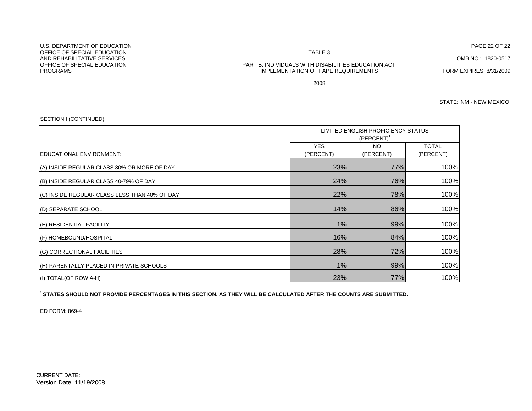SECTION I (CONTINUED)

### TABLE 3

PAGE 22 OF 22

OMB NO.: 1820-0517

# OFFICE OF SPECIAL EDUCATION PART B, INDIVIDUALS WITH DISABILITIES EDUCATION ACT IMPLEMENTATION OF FAPE REQUIREMENTS FORM EXPIRES: 8/31/2009

2008

STATE: NM - NEW MEXICO

# YES I NO I TOTAL (PERCENT) (PERCENT) (PERCENT) 23% 77% 100%24% 76% 100%22% 78% 100%14% 86% 100%1% 99% 100%16% 84% 100% LIMITED ENGLISH PROFICIENCY STATUS (PERCENT)<sup>1</sup> EDUCATIONAL ENVIRONMENT: (A) INSIDE REGULAR CLASS 80% OR MORE OF DAY (B) INSIDE REGULAR CLASS 40-79% OF DAY (C) INSIDE REGULAR CLASS LESS THAN 40% OF DAY (D) SEPARATE SCHOOL (E) RESIDENTIAL FACILITY (F) HOMEBOUND/HOSPITAL 28% 72% 100%1% 99% 100%23% 77% 100%(H) PARENTALLY PLACED IN PRIVATE SCHOOLS (I) TOTAL(OF ROW A-H) (G) CORRECTIONAL FACILITIES

**1 STATES SHOULD NOT PROVIDE PERCENTAGES IN THIS SECTION, AS THEY WILL BE CALCULATED AFTER THE COUNTS ARE SUBMITTED.**